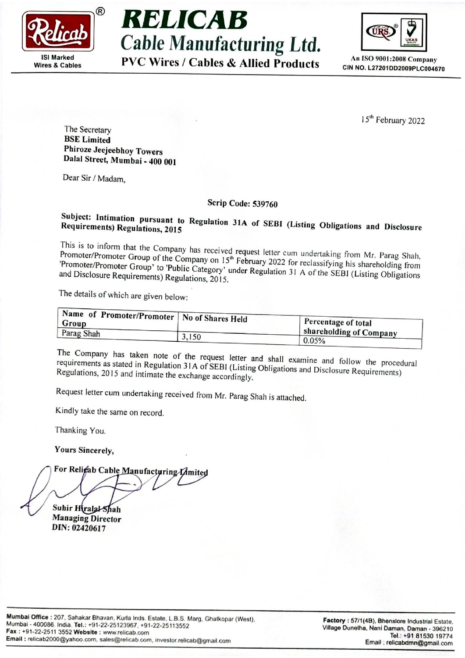





An [SO 9001:2008 Company

15<sup>th</sup> February 2022

The Secretary BSE Limited<br>Phiroze Jeejeebhoy Towers Dalal Street, Mumbai - 400 001

Dear Sir / Madam,

## Scrip Code: 539760

Subject: Req uirements) Intimation ation pursuant to Regulation 31A of SEBI (Listing Obligations and Disclosure<br>Regulations, 2015

This Promoter/Promote is to inform that Group the of Company `ompany has received request letter cum undertaking from Mr. Parag Shah,<br>f the Company on 15<sup>th</sup> February 2022 for the 16th of the Company Promoter/Promoter Group of the Company on 15<sup>th</sup> February 2022 for reclassifying his shareholding from<br>'Promoter/Promoter Group' to 'Public Category' under Beaulating 31 to activity his shareholding from and Disclosure Requirements) Regulations, 2015. 'Promoter/Promoter Group' to 'Public Category' under Regulation 31 A of the SEBI (Listing Obligations Serip Code:<br>
Serip Code:<br>
Negularions 3.7015<br>
Negularions 3.7015<br>
This is to inform that the Company has received request<br>
Promoter/Promoter (Young 1' to Public Category' under R<br>
Promoter/Promoter (Public Category' under

The details of which are given below:

| Name of Promoter/Promoter   No of Shares Held |       |                         |
|-----------------------------------------------|-------|-------------------------|
| Group                                         |       | Percentage of total     |
| Parag Shah                                    |       | shareholding of Company |
|                                               | 3,150 | 0.05%                   |

requirements as stated in Regulation 31.4 of SERI (Listing OH). The Company has taken note of the request letter and shall examine and follow the proced<br>requirements as stated in Regulation 31A of SEBI (Listing Obligations and Disclosure Requirements)<br>Regulations, 2015 and intimate the

Request letter cum undertaking received from Mr. Parag Shah is attached.

Kindly take the same on record,

Thanking You.

Yours Sincerely,

Suhir HiralalShah Managing Director DIN: <sup>02420617</sup>